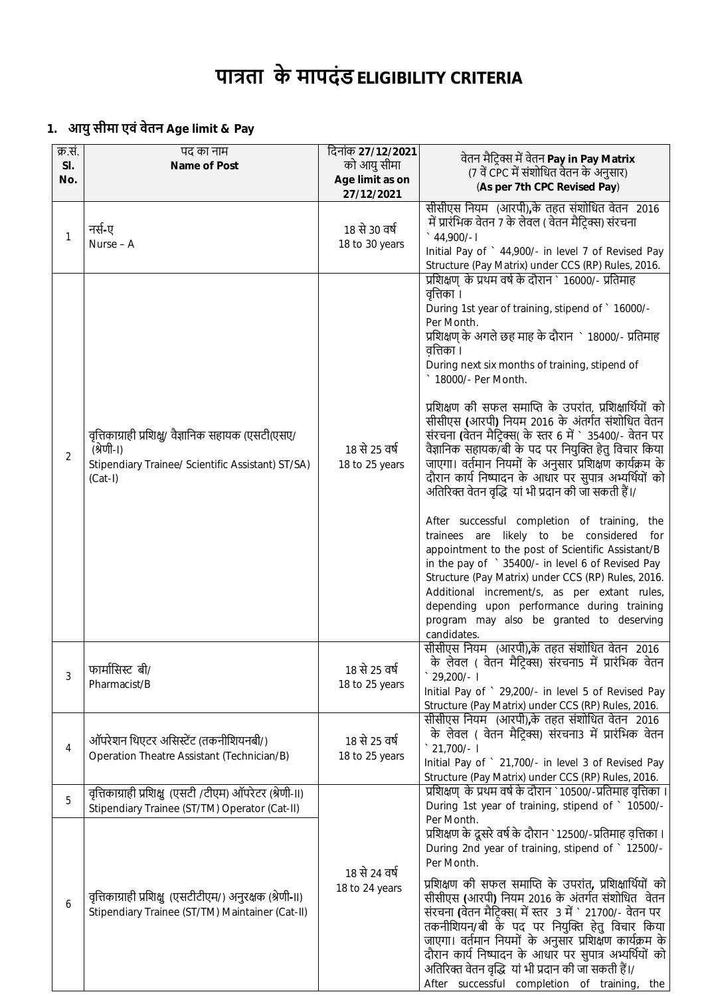# **पाũता के मापदंड ELIGIBILITY CRITERIA**

# **1. आयु सीमा एवं वेतन Age limit & Pay**

| क्र.सं.<br>SI.<br>No. | पद का नाम<br>Name of Post                                                                                                            | दिनांक 27/12/2021<br>को आयु सीमा<br>Age limit as on | वेतन मैट्रिक्स में वेतन Pay in Pay Matrix<br>(7 वें CPC में संशोधित वेतन के अनुसार)<br>(As per 7th CPC Revised Pay)                                                                                                                                                                                                                                                                                                                                                                                                                                                                                                                                                                                                                                                                                                                                                                                                                                                                                                                                                                                                  |
|-----------------------|--------------------------------------------------------------------------------------------------------------------------------------|-----------------------------------------------------|----------------------------------------------------------------------------------------------------------------------------------------------------------------------------------------------------------------------------------------------------------------------------------------------------------------------------------------------------------------------------------------------------------------------------------------------------------------------------------------------------------------------------------------------------------------------------------------------------------------------------------------------------------------------------------------------------------------------------------------------------------------------------------------------------------------------------------------------------------------------------------------------------------------------------------------------------------------------------------------------------------------------------------------------------------------------------------------------------------------------|
| $\mathbf{1}$          | नर्स-ए<br>Nurse - A                                                                                                                  | 27/12/2021<br>18 से 30 वर्ष<br>18 to 30 years       | सीसीएस नियम) (आरपी),के तहत संशोधित वेतन) 2016<br>में प्रारंभिक वेतन 7 के लेवल ( वेतन मैट्रिक्स) संरचना<br>$\degree$ 44,900/-1<br>Initial Pay of ` 44,900/- in level 7 of Revised Pay<br>Structure (Pay Matrix) under CCS (RP) Rules, 2016.                                                                                                                                                                                                                                                                                                                                                                                                                                                                                                                                                                                                                                                                                                                                                                                                                                                                           |
| 2                     | वृत्तिकाग्राही प्रशिक्षु/ वैज्ञानिक सहायक (एसटी(एसए/<br>(श्रेणी-।)<br>Stipendiary Trainee/ Scientific Assistant) ST/SA)<br>$(Cat-I)$ | 18 से 25 वर्ष<br>18 to 25 years                     | प्रशिक्षण के प्रथम वर्ष के दौरान ` 16000/- प्रतिमाह<br>वृत्तिका ।<br>During 1st year of training, stipend of ` 16000/-<br>Per Month.<br>प्रशिक्षण् के अगले छह माह के दौरान ` 18000/- प्रतिमाह<br>वत्तिका ।<br>During next six months of training, stipend of<br>18000/- Per Month.<br>प्रशिक्षण की सफल समाप्ति के उपरांत, प्रशिक्षार्थियों को<br>सीसीएस (आरपी) नियम 2016 के अंतर्गत संशोधित वेतन<br>संरचना (वेतन मैटिक्स( के स्तर 6 में ` 35400/- वेतन पर<br>वैज्ञानिक सहायक/बी के पद पर नियुक्ति हेतु विचार किया<br>जाएगा। वर्तमान नियमों के अनुसार प्रशिक्षण कार्यक्रम के<br>दौरान कार्य निष्पादन के आधार पर सुपात्र अभ्यर्थियों को<br>अतिरिक्त वेतन वृद्धि यां भी प्रदान की जा सकती हैं।/<br>After successful completion of training, the<br>trainees are likely to be considered<br>for<br>appointment to the post of Scientific Assistant/B<br>in the pay of ` 35400/- in level 6 of Revised Pay<br>Structure (Pay Matrix) under CCS (RP) Rules, 2016.<br>Additional increment/s, as per extant rules,<br>depending upon performance during training<br>program may also be granted to deserving<br>candidates. |
| 3                     | फार्मासिस्ट बी/<br>Pharmacist/B                                                                                                      | 18 से 25 वर्ष<br>18 to 25 years                     | सीसीएस नियम (आरपी),के तहत संशोधित वेतन 2016<br>के लेवल (वेतन मैटिक्स) संरचना5 में प्रारंभिक वेतन<br>29,200/- I<br>Initial Pay of ` 29,200/- in level 5 of Revised Pay<br>Structure (Pay Matrix) under CCS (RP) Rules, 2016.                                                                                                                                                                                                                                                                                                                                                                                                                                                                                                                                                                                                                                                                                                                                                                                                                                                                                          |
| 4                     | ऑपरेशन थिएटर असिस्टेंट (तकनीशियनबी/)<br>Operation Theatre Assistant (Technician/B)                                                   | 18 से 25 वर्ष<br>18 to 25 years                     | सीसीएस नियम (आरपी),के तहत संशोधित वेतन 2016<br>के लेवल ( वेतन मैट्रिक्स) संरचना3 में प्रारंभिक वेतन<br>$\degree$ 21,700/- I<br>Initial Pay of ` 21,700/- in level 3 of Revised Pay<br>Structure (Pay Matrix) under CCS (RP) Rules, 2016.                                                                                                                                                                                                                                                                                                                                                                                                                                                                                                                                                                                                                                                                                                                                                                                                                                                                             |
| 5                     | वृत्तिकाग्राही प्रशिक्षु (एसटी /टीएम) ऑपरेटर (श्रेणी-॥)<br>Stipendiary Trainee (ST/TM) Operator (Cat-II)                             |                                                     | प्रशिक्षण् के प्रथम वर्ष के दौरान `10500/-प्रतिमाह वृत्तिका ।<br>During 1st year of training, stipend of ` 10500/-<br>Per Month.                                                                                                                                                                                                                                                                                                                                                                                                                                                                                                                                                                                                                                                                                                                                                                                                                                                                                                                                                                                     |
| 6                     | वृत्तिकाग्राही प्रशिक्षु (एसटीटीएम/) अनुरक्षक (श्रेणी-॥)<br>Stipendiary Trainee (ST/TM) Maintainer (Cat-II)                          | 18 से 24 वर्ष<br>18 to 24 years                     | प्रशिक्षण के दूसरे वर्ष के दौरान `12500/-प्रतिमाह वृत्तिका ।<br>During 2nd year of training, stipend of ` 12500/-<br>Per Month.<br>प्रशिक्षण की सफल समाप्ति के उपरांत, प्रशिक्षार्थियों को<br>सीसीएस (आरपी) नियम 2016 के अंतर्गत संशोधित वेतन<br>संरचना (वेतन मैट्रिक्स( में स्तर 3 में ` 21700/- वेतन पर<br>तकनीशियन/बी के पद पर नियुक्ति हेतु विचार किया<br>जाएगा। वर्तमान नियमों के अनुसार प्रशिक्षण कार्यक्रम के<br>दौरान कार्य निष्पादन के आधार पर सुपात्र अभ्यर्थियों को<br>अतिरिक्त वेतन वृद्धि यां भी प्रदान की जा सकती हैं।/<br>After successful completion of training, the                                                                                                                                                                                                                                                                                                                                                                                                                                                                                                                                |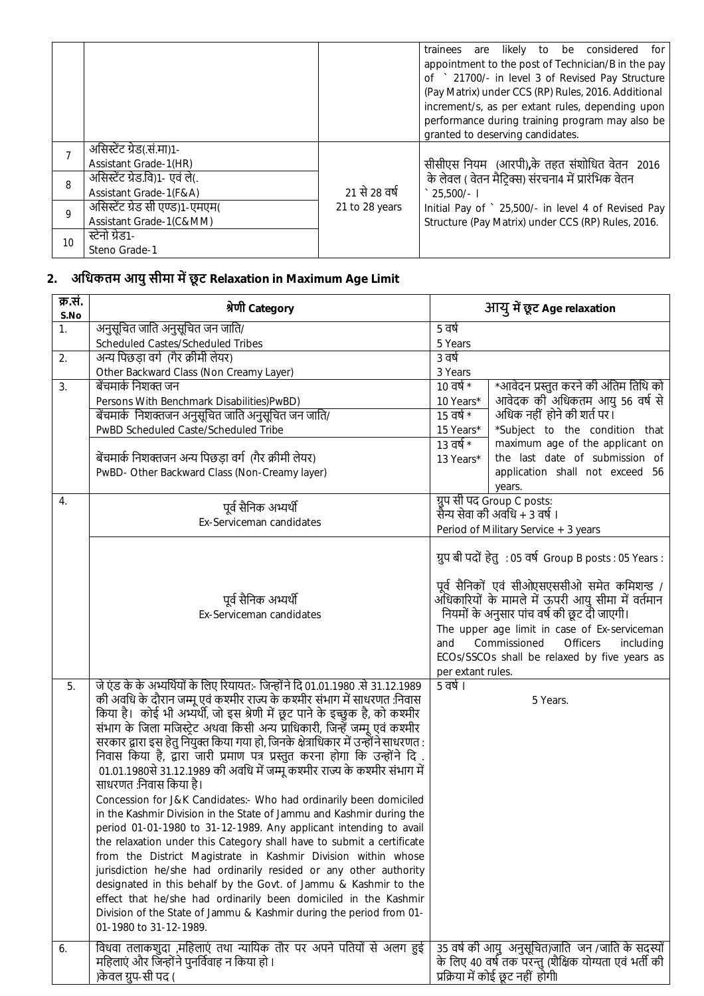|    |                                  |                | are likely to be considered<br>trainees<br>for l    |
|----|----------------------------------|----------------|-----------------------------------------------------|
|    |                                  |                | appointment to the post of Technician/B in the pay  |
|    |                                  |                | of ` 21700/- in level 3 of Revised Pay Structure    |
|    |                                  |                | (Pay Matrix) under CCS (RP) Rules, 2016. Additional |
|    |                                  |                | increment/s, as per extant rules, depending upon    |
|    |                                  |                | performance during training program may also be     |
|    |                                  |                | granted to deserving candidates.                    |
|    | असिस्टेंट ग्रेड(सं.मा)1-         |                |                                                     |
|    | Assistant Grade-1(HR)            |                | सीसीएस नियम (आरपी),के तहत संशोधित वेतन 2016         |
| 8  | असिस्टेंट ग्रेड.वि)1- एवं ले(.   |                | के लेवल ( वेतन मैटिक्स) संरचना4 में प्रारंभिक वेतन  |
|    | Assistant Grade-1(F&A)           | 21 से 28 वर्ष  | $\degree$ 25.500/-                                  |
| 9  | असिस्टेंट ग्रेड सी एण्ड) 1-एमएम( | 21 to 28 years | Initial Pay of ` 25,500/- in level 4 of Revised Pay |
|    | Assistant Grade-1(C&MM)          |                | Structure (Pay Matrix) under CCS (RP) Rules, 2016.  |
| 10 | स्टेनो ग्रेड1-                   |                |                                                     |
|    | Steno Grade-1                    |                |                                                     |

## **2. अिधकतम आयु सीमा मŐ छू ट Relaxation in Maximum Age Limit**

| क्र.सं.<br>S.No  | श्रेणी Category                                                                                                                                                 |                                                    | आयु में छूट Age relaxation                                  |  |
|------------------|-----------------------------------------------------------------------------------------------------------------------------------------------------------------|----------------------------------------------------|-------------------------------------------------------------|--|
| 1.               | अनुसूचित जाति अनुसूचित जन जाति/                                                                                                                                 | 5 वर्ष                                             |                                                             |  |
|                  | Scheduled Castes/Scheduled Tribes                                                                                                                               | 5 Years                                            |                                                             |  |
| 2.               | अन्य पिछड़ा वर्ग (गैर क्रीमी लेयर)                                                                                                                              | ३ वर्ष                                             |                                                             |  |
|                  | Other Backward Class (Non Creamy Layer)                                                                                                                         | 3 Years                                            |                                                             |  |
| 3.               | बेंचमार्क निशक्त जन                                                                                                                                             | $10$ वर्ष $*$                                      | *आवेदन प्रस्तुत करने की अंतिम तिथि को                       |  |
|                  | Persons With Benchmark Disabilities)PwBD)                                                                                                                       | 10 Years*                                          | आवेदक की अधिकतम आयु 56 वर्ष से                              |  |
|                  | बेंचमार्क निशक्तजन अनुसूचित जाति अनुसूचित जन जाति/                                                                                                              | $15$ वर्ष $*$                                      | अधिक नहीं होने की शर्त पर।                                  |  |
|                  | PwBD Scheduled Caste/Scheduled Tribe                                                                                                                            | 15 Years*                                          | *Subject to the condition that                              |  |
|                  |                                                                                                                                                                 | $13 \overline{\text{q}}\text{q}^*$                 | maximum age of the applicant on                             |  |
|                  | बेंचमार्क निशक्तजन अन्य पिछड़ा वर्ग (गैर क्रीमी लेयर)                                                                                                           | 13 Years*                                          | the last date of submission of                              |  |
|                  | PwBD- Other Backward Class (Non-Creamy layer)                                                                                                                   |                                                    | application shall not exceed 56                             |  |
|                  |                                                                                                                                                                 |                                                    | years.                                                      |  |
| $\overline{4}$ . | पूर्व सैनिक अभ्यर्थी                                                                                                                                            |                                                    | ग्रुप सी पद Group C posts:<br>सैन्य सेवा की अवधि + 3 वर्ष । |  |
|                  | Ex-Serviceman candidates                                                                                                                                        |                                                    |                                                             |  |
|                  |                                                                                                                                                                 |                                                    | Period of Military Service + 3 years                        |  |
|                  |                                                                                                                                                                 |                                                    | ग्रुप बी पदों हेतु : 05 वर्ष Group B posts : 05 Years :     |  |
|                  |                                                                                                                                                                 |                                                    |                                                             |  |
|                  |                                                                                                                                                                 |                                                    | पूर्व सैनिकों एवं सीओएसएससीओ समेत कमिशन्ड /                 |  |
|                  | पूर्व सैनिक अभ्यर्थी                                                                                                                                            | अँधिकारियों के मामले में ऊपरी आयु सीमा में वर्तमान |                                                             |  |
|                  | Ex-Serviceman candidates                                                                                                                                        |                                                    | नियमों के अनुसार पांच वर्ष की छूट दी जाएगी।                 |  |
|                  |                                                                                                                                                                 |                                                    | The upper age limit in case of Ex-serviceman                |  |
|                  |                                                                                                                                                                 | and                                                | Commissioned<br><b>Officers</b><br>including                |  |
|                  |                                                                                                                                                                 |                                                    | ECOs/SSCOs shall be relaxed by five years as                |  |
|                  |                                                                                                                                                                 | per extant rules.                                  |                                                             |  |
| 5.               | जे एंड के के अभ्यर्थियों के लिए रियायत:- जिन्होंने दि 01.01.1980 .से 31.12.1989                                                                                 | 5 वर्ष ।                                           |                                                             |  |
|                  | की अवधि के दौरान जम्मू एवं कश्मीर राज्य के कश्मीर संभाग में साधरणत :निवास                                                                                       |                                                    | 5 Years.                                                    |  |
|                  | किया है। कोई भी अभ्यर्थी, जो इस श्रेणी में छूट पाने के इच्छुक है, को कश्मीर                                                                                     |                                                    |                                                             |  |
|                  | संभाग के जिला मजिस्ट्रेट अथवा किसी अन्य प्राधिकारी, जिन्हें जम्मू एवं कश्मीर                                                                                    |                                                    |                                                             |  |
|                  | सरकार द्वारा इस हेतु नियुक्त किया गया हो, जिनके क्षेत्राधिकार में उन्होंने साधरणत:<br>निवास किया है, द्वारा जारी प्रमाण पत्र प्रस्तुत करना होगा कि उन्होंने दि. |                                                    |                                                             |  |
|                  | 01.01.1980से 31.12.1989 की अवधि में जम्मू कश्मीर राज्य के कश्मीर संभाग में                                                                                      |                                                    |                                                             |  |
|                  | साधरणत :निवास किया है।                                                                                                                                          |                                                    |                                                             |  |
|                  | Concession for J&K Candidates:- Who had ordinarily been domiciled                                                                                               |                                                    |                                                             |  |
|                  | in the Kashmir Division in the State of Jammu and Kashmir during the                                                                                            |                                                    |                                                             |  |
|                  | period 01-01-1980 to 31-12-1989. Any applicant intending to avail                                                                                               |                                                    |                                                             |  |
|                  | the relaxation under this Category shall have to submit a certificate                                                                                           |                                                    |                                                             |  |
|                  | from the District Magistrate in Kashmir Division within whose                                                                                                   |                                                    |                                                             |  |
|                  | jurisdiction he/she had ordinarily resided or any other authority                                                                                               |                                                    |                                                             |  |
|                  | designated in this behalf by the Govt. of Jammu & Kashmir to the                                                                                                |                                                    |                                                             |  |
|                  | effect that he/she had ordinarily been domiciled in the Kashmir                                                                                                 |                                                    |                                                             |  |
|                  | Division of the State of Jammu & Kashmir during the period from 01-                                                                                             |                                                    |                                                             |  |
|                  | 01-1980 to 31-12-1989.                                                                                                                                          |                                                    |                                                             |  |
| 6.               | विधवा तलाकशुदा ,महिलाएं तथा न्यायिक तौर पर अपने पतियों से अलग हुई                                                                                               |                                                    | 35 वर्ष की आयु अनुसूचित)जाति जन /जाति के सदस्यों            |  |
|                  | महिलाएं और जिन्होंने पुनर्विवाह न किया हो।                                                                                                                      |                                                    | के लिए 40 वर्ष तक परन्तु (शैक्षिक योग्यता एवं भर्ती की      |  |
|                  | )केवल ग्रुप-सी पद (                                                                                                                                             |                                                    | प्रक्रिया में कोई छूट नहीं होगी।                            |  |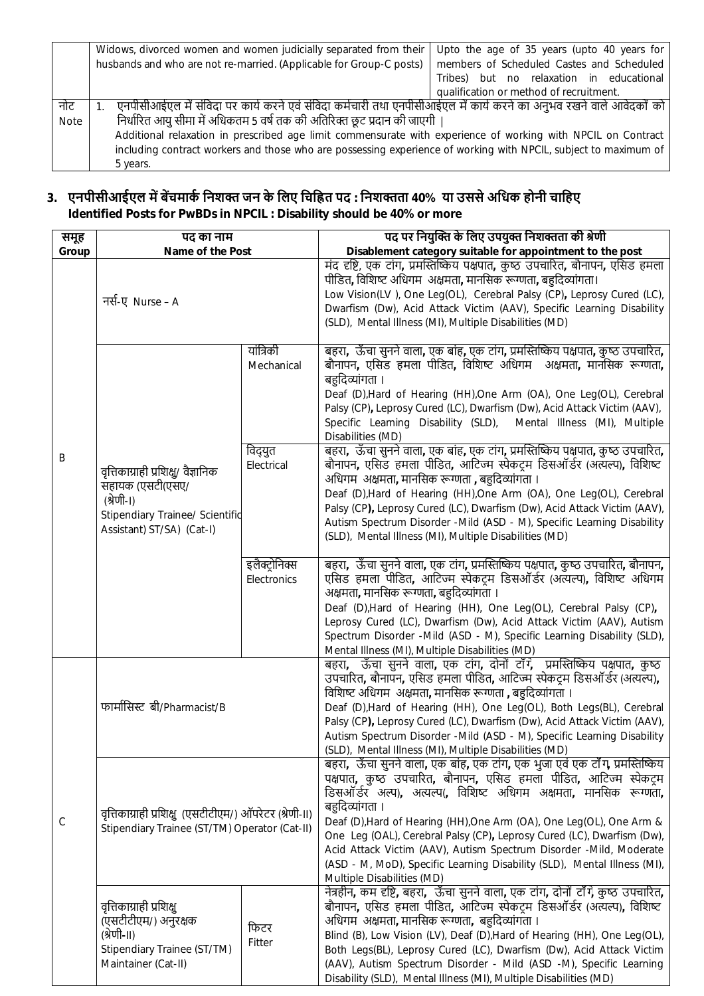|             | Widows, divorced women and women judicially separated from their                                                    | Upto the age of 35 years (upto 40 years for |  |  |
|-------------|---------------------------------------------------------------------------------------------------------------------|---------------------------------------------|--|--|
|             | husbands and who are not re-married. (Applicable for Group-C posts)                                                 | members of Scheduled Castes and Scheduled   |  |  |
|             |                                                                                                                     | Tribes) but no relaxation in educational    |  |  |
|             |                                                                                                                     | qualification or method of recruitment.     |  |  |
| नोट         | एनपीसीआईएल में संविदा पर कार्य करने एवं संविदा कर्मचारी तथा एनपीसीआईएल में कार्य करने का अनुभव रखने वाले आवेदकों को |                                             |  |  |
| <b>Note</b> | निर्धारित आयु सीमा में अधिकतम 5 वर्ष तक की अतिरिक्त छूट प्रदान की जाएगी                                             |                                             |  |  |
|             | Additional relaxation in prescribed age limit commensurate with experience of working with NPCIL on Contract        |                                             |  |  |
|             | including contract workers and those who are possessing experience of working with NPCIL, subject to maximum of     |                                             |  |  |
|             | 5 years.                                                                                                            |                                             |  |  |

#### **3. एनपीसीआईएल मŐ बŐचमाकŊ िनशƅ जन के िलए िचि˥त पद : िनशƅता 40% या उससे अिधक होनी चािहए Identified Posts for PwBDs in NPCIL : Disability should be 40% or more**

| समूह  | पद का नाम                                                                                                                             |                             | पद पर नियुक्ति के लिए उपयुक्त निशक्तता की श्रेणी                                                                                                                                                                                                                                                                                                                                                                                                                                                                                                                           |
|-------|---------------------------------------------------------------------------------------------------------------------------------------|-----------------------------|----------------------------------------------------------------------------------------------------------------------------------------------------------------------------------------------------------------------------------------------------------------------------------------------------------------------------------------------------------------------------------------------------------------------------------------------------------------------------------------------------------------------------------------------------------------------------|
| Group | Name of the Post                                                                                                                      |                             | Disablement category suitable for appointment to the post                                                                                                                                                                                                                                                                                                                                                                                                                                                                                                                  |
| B     | नर्स-ए Nurse – A                                                                                                                      |                             | मंद दृष्टि, एक टांग, प्रमस्तिष्किय पक्षपात, कुष्ठ उपचारित, बौनापन, एसिड हमला<br>पीडित, विशिष्ट अधिगम) अक्षमता, मानसिक रूग्णता, बहुदिव्यांगता।<br>Low Vision(LV), One Leg(OL), Cerebral Palsy (CP), Leprosy Cured (LC),<br>Dwarfism (Dw), Acid Attack Victim (AAV), Specific Learning Disability<br>(SLD), Mental Illness (MI), Multiple Disabilities (MD)                                                                                                                                                                                                                  |
|       |                                                                                                                                       | यांत्रिकी<br>Mechanical     | बहरा,  ऊँचा सुनने वाला, एक बांह, एक टांग, प्रमस्तिष्किय पक्षपात, कुष्ठ उपचारित,<br>बौनापन, एसिड हमला पीडित, विशिष्ट अधिगम अक्षमता, मानसिक रूग्णता,<br>बहुदिव्यांगता ।<br>Deaf (D), Hard of Hearing (HH), One Arm (OA), One Leg(OL), Cerebral<br>Palsy (CP), Leprosy Cured (LC), Dwarfism (Dw), Acid Attack Victim (AAV),<br>Specific Learning Disability (SLD),<br>Mental Illness (MI), Multiple<br>Disabilities (MD)                                                                                                                                                      |
|       | वृत्तिकाग्राही प्रशिक्षु/ वैज्ञानिक<br>सहायक (एसटी(एसए/<br>(श्रेणी-।)<br>Stipendiary Trainee/ Scientific<br>Assistant) ST/SA) (Cat-I) | विद्युत<br>Electrical       | बहरा, ऊँचा सुनने वाला, एक बांह, एक टांग, प्रमस्तिष्किय पक्षपात, कुष्ठ उपचारित,<br>बौनापन, एसिड हमला पीडित, आटिज्म स्पेकट्म डिसऑर्डर (अत्यल्प), विशिष्ट<br>अधिगम) अक्षमता, मानसिक रूग्णता , बहुदिव्यांगता ।<br>Deaf (D), Hard of Hearing (HH), One Arm (OA), One Leg(OL), Cerebral<br>Palsy (CP), Leprosy Cured (LC), Dwarfism (Dw), Acid Attack Victim (AAV),<br>Autism Spectrum Disorder -Mild (ASD - M), Specific Learning Disability<br>(SLD), Mental Illness (MI), Multiple Disabilities (MD)                                                                          |
|       |                                                                                                                                       | इलैक्टोनिक्स<br>Electronics | बहरा, ऊँचा सुनने वाला, एक टांग, प्रमस्तिष्किय पक्षपात, कुष्ठ उपचारित, बौनापन,<br>एसिड हमला पीडित, आटिज्म स्पेकट्रम डिसऑर्डर (अत्यल्प), विशिष्ट अधिगम<br>अक्षमता, मानसिक रूग्णता, बहुदिव्यांगता ।<br>Deaf (D), Hard of Hearing (HH), One Leg(OL), Cerebral Palsy (CP),<br>Leprosy Cured (LC), Dwarfism (Dw), Acid Attack Victim (AAV), Autism<br>Spectrum Disorder -Mild (ASD - M), Specific Learning Disability (SLD),<br>Mental Illness (MI), Multiple Disabilities (MD)                                                                                                  |
| C     | फार्मासिस्ट बी/Pharmacist/B                                                                                                           |                             | बहरा, ऊँचा सुनने वाला, एक टांग, दोनों टॉॅंग, प्रमस्तिष्किय पक्षपात, कुष्ठ<br>उपचारित, बौनापन, एसिड हमला पीडित, आटिज्म स्पेकट्म डिसऑर्डर (अत्यल्प),<br>विशिष्ट अधिगम  अक्षमता, मानसिक रूग्णता , बहुदिव्यांगता ।<br>Deaf (D), Hard of Hearing (HH), One Leg(OL), Both Legs(BL), Cerebral<br>Palsy (CP), Leprosy Cured (LC), Dwarfism (Dw), Acid Attack Victim (AAV),<br>Autism Spectrum Disorder -Mild (ASD - M), Specific Learning Disability<br>(SLD), Mental Illness (MI), Multiple Disabilities (MD)                                                                     |
|       | वृत्तिकाग्राही प्रशिक्षु (एसटीटीएम/) ऑपरेटर (श्रेणी-II)<br>Stipendiary Trainee (ST/TM) Operator (Cat-II)                              |                             | बहरा,  ऊँचा सुनने वाला, एक बांह, एक टांग, एक भुजा एवं एक टाॅंग, प्रमस्तिष्किय<br>पक्षपात, कुष्ठ उपचारित, बौनापन, एसिड हमला पीडित, आटिज्म स्पेकट्म<br>डिसऑर्डर अल्प), अत्यल्प(, विशिष्ट अधिगम अक्षमता, मानसिक रूग्णता,<br>बहुदिव्यांगता ।<br>Deaf (D), Hard of Hearing (HH), One Arm (OA), One Leg(OL), One Arm &<br>One Leg (OAL), Cerebral Palsy (CP), Leprosy Cured (LC), Dwarfism (Dw),<br>Acid Attack Victim (AAV), Autism Spectrum Disorder -Mild, Moderate<br>(ASD - M, MoD), Specific Learning Disability (SLD), Mental Illness (MI),<br>Multiple Disabilities (MD) |
|       | वृत्तिकाग्राही प्रशिक्ष<br>(एसटीटीएम/) अनुरक्षक<br>(श्रेणी-॥)<br>Stipendiary Trainee (ST/TM)<br>Maintainer (Cat-II)                   | फिटर<br>Fitter              | नेत्रहीन, कम दृष्टि, बहरा, ऊँचा सुनने वाला, एक टांग, दोनों टाँगे, कुष्ठ उपचारित,<br>बौनापन, एसिड हमला पीडित, आटिज्म स्पेकट्रम डिसऑर्डर (अत्यल्प), विशिष्ट<br>अधिगम अक्षमता, मानसिक रूग्णता, बहुदिव्यांगता ।<br>Blind (B), Low Vision (LV), Deaf (D), Hard of Hearing (HH), One Leg(OL),<br>Both Legs(BL), Leprosy Cured (LC), Dwarfism (Dw), Acid Attack Victim<br>(AAV), Autism Spectrum Disorder - Mild (ASD -M), Specific Learning<br>Disability (SLD), Mental Illness (MI), Multiple Disabilities (MD)                                                                 |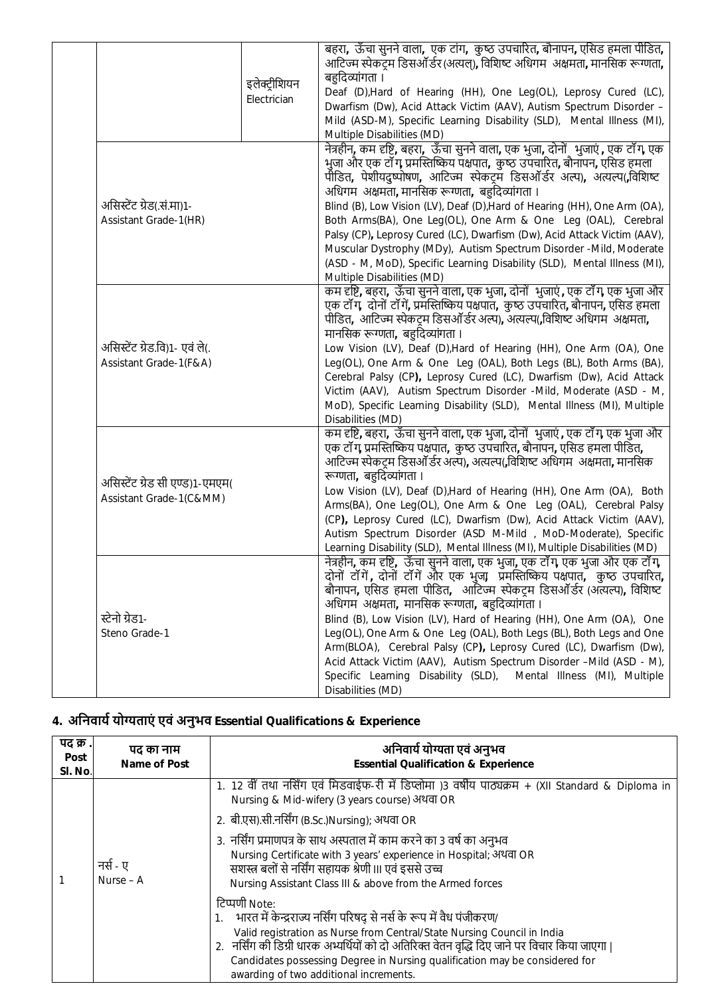|                                                            | इलेक्ट्रीशियन<br>Electrician | बहरा, ऊँचा सुनने वाला, एक टांग, कुष्ठ उपचारित, बौनापन, एसिड हमला पीडित,<br>आटिज्म स्पेकट्म डिसऑॅर्डर (अत्यल्), विशिष्ट अधिगम) अक्षमता, मानसिक रूग्णता,<br>बहुदिव्यांगता ।<br>Deaf (D), Hard of Hearing (HH), One Leg(OL), Leprosy Cured (LC),<br>Dwarfism (Dw), Acid Attack Victim (AAV), Autism Spectrum Disorder -<br>Mild (ASD-M), Specific Learning Disability (SLD), Mental Illness (MI),<br>Multiple Disabilities (MD)                                                                                                                                                                                                                                                                        |
|------------------------------------------------------------|------------------------------|-----------------------------------------------------------------------------------------------------------------------------------------------------------------------------------------------------------------------------------------------------------------------------------------------------------------------------------------------------------------------------------------------------------------------------------------------------------------------------------------------------------------------------------------------------------------------------------------------------------------------------------------------------------------------------------------------------|
| असिस्टेंट ग्रेड(.सं.मा)1-<br>Assistant Grade-1(HR)         |                              | नेत्रहीन, कम दृष्टि, बहरा,  ऊँचा सुनने वाला, एक भुजा, दोनों  भुजाएं , एक टॉंग, एक<br>भुजा और एक टॉंग, प्रमस्तिष्किय पक्षपात,  कुष्ठ उपचारित, बौनापन, एसिड हमला<br>पीडित, पेशीयदुष्पोषण, आटिज्म स्पेकट्म डिसऑर्डर अल्प), अत्यल्प(विशिष्ट<br>अधिगम अक्षमता, मानसिक रूग्णता, बहुदिव्यांगता ।<br>Blind (B), Low Vision (LV), Deaf (D), Hard of Hearing (HH), One Arm (OA),<br>Both Arms(BA), One Leg(OL), One Arm & One Leg (OAL), Cerebral<br>Palsy (CP), Leprosy Cured (LC), Dwarfism (Dw), Acid Attack Victim (AAV),<br>Muscular Dystrophy (MDy), Autism Spectrum Disorder -Mild, Moderate<br>(ASD - M, MoD), Specific Learning Disability (SLD), Mental Illness (MI),<br>Multiple Disabilities (MD) |
| असिस्टेंट ग्रेड.वि)1- एवं ले(.<br>Assistant Grade-1(F&A)   |                              | कम दृष्टि, बहरा,  ऊँचा सुनने वाला, एक भुजा, दोनों  भुजाएं , एक टॉंग, एक भुजा और<br>एक टॉंग, दोनों टॉंगें, प्रमस्तिष्किय पक्षपात, कुष्ठ उपचारित, बौनापन, एसिड हमला<br>पीडित, आटिज्म स्पेकट्म डिसऑॅर्डर अल्प), अत्यल्प(विशिष्ट अधिगम)अक्षमता,<br>मानसिक रूग्णता, बहुदिव्यांगता ।<br>Low Vision (LV), Deaf (D), Hard of Hearing (HH), One Arm (OA), One<br>Leg(OL), One Arm & One Leg (OAL), Both Legs (BL), Both Arms (BA),<br>Cerebral Palsy (CP), Leprosy Cured (LC), Dwarfism (Dw), Acid Attack<br>Victim (AAV), Autism Spectrum Disorder -Mild, Moderate (ASD - M,<br>MoD), Specific Learning Disability (SLD), Mental Illness (MI), Multiple<br>Disabilities (MD)                                |
| असिस्टेंट ग्रेड सी एण्ड)1-एमएम(<br>Assistant Grade-1(C&MM) |                              | कम दृष्टि, बहरा,  ऊँचा सुनने वाला, एक भुजा, दोनों  भुजाएं , एक टॉंग, एक भुजा और<br>एक टॉॅंग, प्रमस्तिष्किय पक्षपात,  कुष्ठ उपचारित, बौनापन, एसिड हमला पीडित,<br>आटिज्म स्पेकट्म डिसऑॅ र्डर अल्प), अत्यल्प(,विशिष्ट अधिगम) अक्षमता, मानसिक<br>रूग्णता, बहुदिव्यांगता ।<br>Low Vision (LV), Deaf (D), Hard of Hearing (HH), One Arm (OA), Both<br>Arms(BA), One Leg(OL), One Arm & One Leg (OAL), Cerebral Palsy<br>(CP), Leprosy Cured (LC), Dwarfism (Dw), Acid Attack Victim (AAV),<br>Autism Spectrum Disorder (ASD M-Mild, MoD-Moderate), Specific<br>Learning Disability (SLD), Mental Illness (MI), Multiple Disabilities (MD)                                                                 |
| स्टेनो ग्रेड1-<br>Steno Grade-1                            |                              | नेत्रहीन, कम दृष्टि,  ऊँचा सुनने वाला, एक भुजा, एक टाँग, एक भुजा और एक टाँग,<br>दोनों टॉंगें, दोनों टॉंगें और एक भुजा, प्रमस्तिष्किय पक्षपात,  कुष्ठ उपचारित,<br>बौनापन, एसिड हमला पीडित, आर्टिज्म स्पेकट्रम डिसऑर्डर (अत्यल्प), विशिष्ट<br>अधिगम अक्षमता, मानसिक रूग्णता, बहुदिव्यांगता ।<br>Blind (B), Low Vision (LV), Hard of Hearing (HH), One Arm (OA), One<br>Leg(OL), One Arm & One Leg (OAL), Both Legs (BL), Both Legs and One<br>Arm(BLOA), Cerebral Palsy (CP), Leprosy Cured (LC), Dwarfism (Dw),<br>Acid Attack Victim (AAV), Autism Spectrum Disorder -Mild (ASD - M),<br>Specific Learning Disability (SLD), Mental Illness (MI), Multiple<br>Disabilities (MD)                     |

## **4. अिनवायŊ योƶताएं एवं अनुभव Essential Qualifications & Experience**

| पद क्र .<br>Post<br>SI. No. | पद का नाम<br>Name of Post | अनिवार्य योग्यता एवं अनुभव<br><b>Essential Qualification &amp; Experience</b>                                                                                                                                                                                                                                                                                                                |
|-----------------------------|---------------------------|----------------------------------------------------------------------------------------------------------------------------------------------------------------------------------------------------------------------------------------------------------------------------------------------------------------------------------------------------------------------------------------------|
|                             |                           | 1. 12 वीं तथा नर्सिंग एवं मिडवाईफ-री में डिप्लोमा )3 वर्षीय पाठ्यक्रम + (XII Standard & Diploma in<br>Nursing & Mid-wifery (3 years course) अथवा OR<br>2. बी.एस).सी.नर्सिंग (B.Sc.)Nursing); अथवा OR                                                                                                                                                                                         |
|                             | नर्स - ए<br>Nurse – A     | 3.  नर्सिंग प्रमाणपत्र के साथ अस्पताल में काम करने का 3 वर्ष का अनुभव<br>Nursing Certificate with 3 years' experience in Hospital; अथवा OR<br>सशस्त्र बलों से नर्सिंग सहायक श्रेणी III एवं इससे उच्च<br>Nursing Assistant Class III & above from the Armed forces                                                                                                                            |
|                             |                           | टिप्पणी Note:<br>भारत में केन्द्रराज्य नर्सिंग परिषद् से नर्स के रूप में वैध पंजीकरण/<br>Valid registration as Nurse from Central/State Nursing Council in India<br>2. नर्सिंग की डिग्री धारक अभ्यर्थियों को दो अतिरिक्त वेतन वृद्धि दिए जाने पर विचार किया जाएगा  <br>Candidates possessing Degree in Nursing qualification may be considered for<br>awarding of two additional increments. |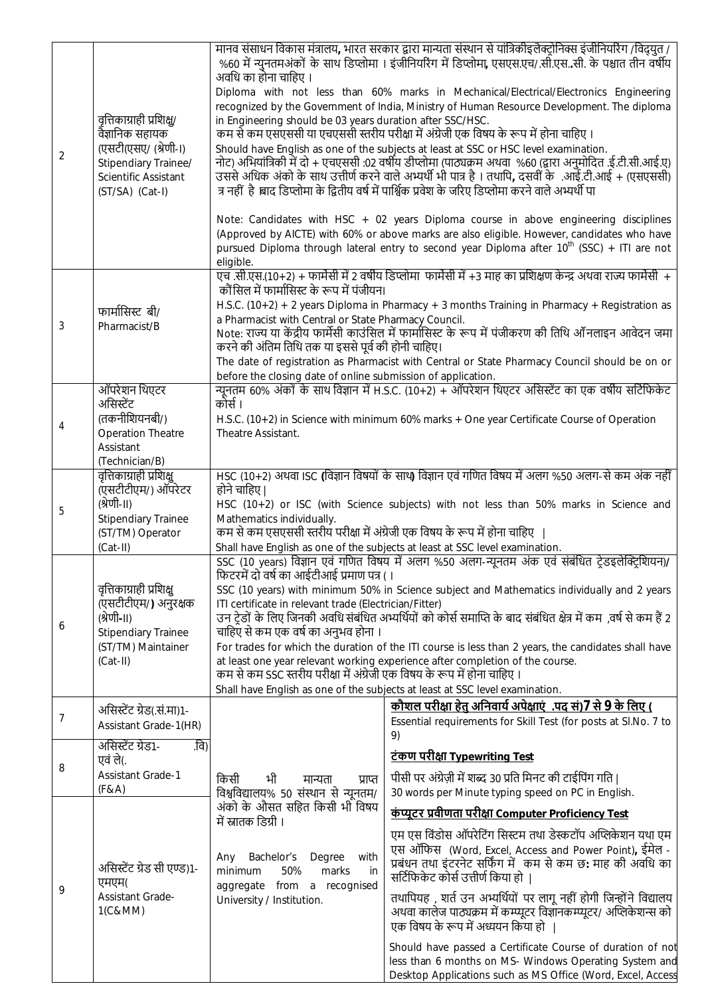| $\overline{2}$ | वृत्तिकाग्राही प्रशिक्षु/<br>वैज्ञानिक सहायक<br>(एसटी(एसए/ (श्रेणी-।)<br>Stipendiary Trainee/<br>Scientific Assistant<br>(ST/SA) (Cat-I)       | 'मानव संसाधन विकास मंत्रालय, भारत सरकार द्वारा मान्यता संस्थान से यांत्रिकीइलैक्टोनिक्स इंजीनियरिंग /विद्र्यत<br>%60 में न्युनतमअंकों के साथ डिप्लोमा । इंजीनियरिंग में डिप्लोमा, एसएस.एच/.सी.एससी. के पश्चात तीन वर्षीय<br>अवधि का होना चाहिए ।<br>Diploma with not less than 60% marks in Mechanical/Electrical/Electronics Engineering<br>recognized by the Government of India, Ministry of Human Resource Development. The diploma<br>in Engineering should be 03 years duration after SSC/HSC.<br>कम से कम एसएससी या एचएससी स्तरीय परीक्षा में अंग्रेजी एक विषय के रूप में होना चाहिए ।<br>Should have English as one of the subjects at least at SSC or HSC level examination.<br>नोट) अभियांत्रिकी में दो + एचएससी :02 वर्षीय डीप्लोमा (पाठ्यक्रम अथवा  %60 (द्वारा अनुमोदित .ई.टी.सी.आई.ए)<br>उससे अधिक अंको के साथ उत्तीर्ण करने वाले अभ्यर्थी भी पात्र है । तथापि, दसवीं के .आई.टी.आई + (एसएससी)<br>त्र नहीं है ।बाद डिप्लोमा के द्वितीय वर्ष में पार्श्विक प्रवेश के जरिए डिप्लोमा करने वाले अभ्यर्थी पा<br>Note: Candidates with HSC + 02 years Diploma course in above engineering disciplines<br>(Approved by AICTE) with 60% or above marks are also eligible. However, candidates who have<br>pursued Diploma through lateral entry to second year Diploma after 10 <sup>th</sup> (SSC) + ITI are not |                                                                                                                                                                                                                                                                                                                                                                                                                                                                                                                                                                                                                                                              |  |
|----------------|------------------------------------------------------------------------------------------------------------------------------------------------|------------------------------------------------------------------------------------------------------------------------------------------------------------------------------------------------------------------------------------------------------------------------------------------------------------------------------------------------------------------------------------------------------------------------------------------------------------------------------------------------------------------------------------------------------------------------------------------------------------------------------------------------------------------------------------------------------------------------------------------------------------------------------------------------------------------------------------------------------------------------------------------------------------------------------------------------------------------------------------------------------------------------------------------------------------------------------------------------------------------------------------------------------------------------------------------------------------------------------------------------------------------------------------------------------------------------|--------------------------------------------------------------------------------------------------------------------------------------------------------------------------------------------------------------------------------------------------------------------------------------------------------------------------------------------------------------------------------------------------------------------------------------------------------------------------------------------------------------------------------------------------------------------------------------------------------------------------------------------------------------|--|
|                |                                                                                                                                                | eligible.                                                                                                                                                                                                                                                                                                                                                                                                                                                                                                                                                                                                                                                                                                                                                                                                                                                                                                                                                                                                                                                                                                                                                                                                                                                                                                              | एच .सी.एस.(10+2) + फार्मेसी में 2 वर्षीय डिप्लोमा  फार्मेसी में +3 माह का प्रशिक्षण केन्द्र अथवा राज्य फार्मेसी  +                                                                                                                                                                                                                                                                                                                                                                                                                                                                                                                                           |  |
| 3              | फार्मासिस्ट बी/<br>Pharmacist/B                                                                                                                | कौंसिल में फार्मासिस्ट के रूप में पंजीयन।<br>H.S.C. (10+2) + 2 years Diploma in Pharmacy + 3 months Training in Pharmacy + Registration as<br>a Pharmacist with Central or State Pharmacy Council.<br>Note: राज्य या केंद्रीय फार्मेसी काउंसिल में फार्मासिस्ट के रूप में पंजीकरण की तिथि ऑनलाइन आवेदन जमा<br>करने की अंतिम तिथि तक या इससे पूर्व की होनी चाहिए।<br>The date of registration as Pharmacist with Central or State Pharmacy Council should be on or                                                                                                                                                                                                                                                                                                                                                                                                                                                                                                                                                                                                                                                                                                                                                                                                                                                      |                                                                                                                                                                                                                                                                                                                                                                                                                                                                                                                                                                                                                                                              |  |
|                | ऑपरेशन थिएटर                                                                                                                                   | before the closing date of online submission of application.                                                                                                                                                                                                                                                                                                                                                                                                                                                                                                                                                                                                                                                                                                                                                                                                                                                                                                                                                                                                                                                                                                                                                                                                                                                           | न्यूनतम 60% अंकों के साथ विज्ञान में H.S.C. (10+2) + ऑपरेशन थिएटर असिस्टेंट का एक वर्षीय सर्टिफिकेट                                                                                                                                                                                                                                                                                                                                                                                                                                                                                                                                                          |  |
| 4              | असिस्टेंट<br>(तकनीशियनबी/)<br><b>Operation Theatre</b><br>Assistant                                                                            | कोर्स ।<br>H.S.C. (10+2) in Science with minimum 60% marks + One year Certificate Course of Operation<br>Theatre Assistant.                                                                                                                                                                                                                                                                                                                                                                                                                                                                                                                                                                                                                                                                                                                                                                                                                                                                                                                                                                                                                                                                                                                                                                                            |                                                                                                                                                                                                                                                                                                                                                                                                                                                                                                                                                                                                                                                              |  |
| 5              | (Technician/B)<br>वृत्तिकाग्राही प्रशिक्षु<br>(एसटीटीएम/) ऑपरेटर<br>(श्रेणी-॥)<br><b>Stipendiary Trainee</b><br>(ST/TM) Operator<br>$(Cat-II)$ | HSC (10+2) अथवा ISC (विज्ञान विषयों के साथ) विज्ञान एवं गणित विषय में अलग %50 अलग-से कम अंक नहीं<br>होने चाहिए।<br>HSC (10+2) or ISC (with Science subjects) with not less than 50% marks in Science and<br>Mathematics individually.<br>कम से कम एसएससी स्तरीय परीक्षा में अंग्रेजी एक विषय के रूप में होना चाहिए                                                                                                                                                                                                                                                                                                                                                                                                                                                                                                                                                                                                                                                                                                                                                                                                                                                                                                                                                                                                     |                                                                                                                                                                                                                                                                                                                                                                                                                                                                                                                                                                                                                                                              |  |
| 6              | वृत्तिकाग्राही प्रशिक्षु<br>(एसटीटीएम/) अनुरक्षक<br>(श्रेणी-॥)<br><b>Stipendiary Trainee</b><br>(ST/TM) Maintainer<br>$(Cat-II)$               | Shall have English as one of the subjects at least at SSC level examination.<br>SSC (10 years) विज्ञान एवं गणित विषय में अलग %50 अलग-न्यूनतम अंक एवं संबंधित टे़डइलेक्ट्रिशियन)/<br>फिटरमें दो वर्ष का आईटीआई प्रमाण पत्र (।<br>SSC (10 years) with minimum 50% in Science subject and Mathematics individually and 2 years<br>ITI certificate in relevant trade (Electrician/Fitter)<br>उन ट्रेडों के लिए जिनकी अवधि संबंधित अभ्यर्थियों को कोर्स समाप्ति के बाद संबंधित क्षेत्र में कम ,वर्ष से कम हैं 2<br>चाहिए से कम एक वर्ष का अनुभव होना ।<br>For trades for which the duration of the ITI course is less than 2 years, the candidates shall have<br>at least one year relevant working experience after completion of the course.<br>कम से कम SSC स्तरीय परीक्षा में अंग्रेजी एक विषय के रूप में होना चाहिए ।<br>Shall have English as one of the subjects at least at SSC level examination.                                                                                                                                                                                                                                                                                                                                                                                                                  |                                                                                                                                                                                                                                                                                                                                                                                                                                                                                                                                                                                                                                                              |  |
| 7              | असिस्टेंट ग्रेड(.सं.मा)१-<br>Assistant Grade-1(HR)                                                                                             |                                                                                                                                                                                                                                                                                                                                                                                                                                                                                                                                                                                                                                                                                                                                                                                                                                                                                                                                                                                                                                                                                                                                                                                                                                                                                                                        | <u>कौशल परीक्षा हेतु अनिवार्य अपेक्षाएं .पद सं) 7 से 9 के लिए (</u><br>Essential requirements for Skill Test (for posts at Sl.No. 7 to                                                                                                                                                                                                                                                                                                                                                                                                                                                                                                                       |  |
| 8              | .वि)<br>असिस्टेंट ग्रेड1-<br>एवं ले(.<br><b>Assistant Grade-1</b><br>(F & A)                                                                   | भी<br>किसी<br>मान्यता<br>प्राप्त<br>विश्वविद्यालय% 50 संस्थान से न्यूनतम/                                                                                                                                                                                                                                                                                                                                                                                                                                                                                                                                                                                                                                                                                                                                                                                                                                                                                                                                                                                                                                                                                                                                                                                                                                              | 9)<br><u>टंकण परीक्षा Typewriting Test</u><br>पीसी पर अंग्रेज़ी में शब्द 30 प्रति मिनट की टाईपिंग गति  <br>30 words per Minute typing speed on PC in English.                                                                                                                                                                                                                                                                                                                                                                                                                                                                                                |  |
| 9              | असिस्टेंट ग्रेड सी एण्ड)1-<br>एमएम(<br><b>Assistant Grade-</b><br>1(C&MM)                                                                      | अंको के औसत सहित किसी भी विषय<br>में स्नातक डिग्री ।<br>Bachelor's<br>Degree<br>with<br>Any<br>minimum<br>50%<br>marks<br>in<br>aggregate from a recognised<br>University / Institution.                                                                                                                                                                                                                                                                                                                                                                                                                                                                                                                                                                                                                                                                                                                                                                                                                                                                                                                                                                                                                                                                                                                               | <u>कंप्यूटर प्रवीणता परीक्षा Computer Proficiency Test</u><br>एम एस विंडोस ऑपरेटिंग सिस्टम तथा डेस्कटॉप अप्लिकेशन यथा एम<br>एस ऑफिस (Word, Excel, Access and Power Point), ईमेल -<br>प्रबंधन तथा इंटरनेट सर्फिंग में कम से कम छ: माह की अवधि का<br>सर्टिफिकेट कोर्स उत्तीर्ण किया हो<br>तथापियह, शर्त उन अभ्यर्थियों पर लागू नहीं होगी जिन्होंने विद्यालय<br>अथवा कालेज पाठ्यक्रम में कम्प्यूटर विज्ञानकम्प्यूटर/ अप्लिकेशन्स को<br>एक विषय के रूप में अध्ययन किया हो<br>Should have passed a Certificate Course of duration of not<br>less than 6 months on MS- Windows Operating System and<br>Desktop Applications such as MS Office (Word, Excel, Access |  |